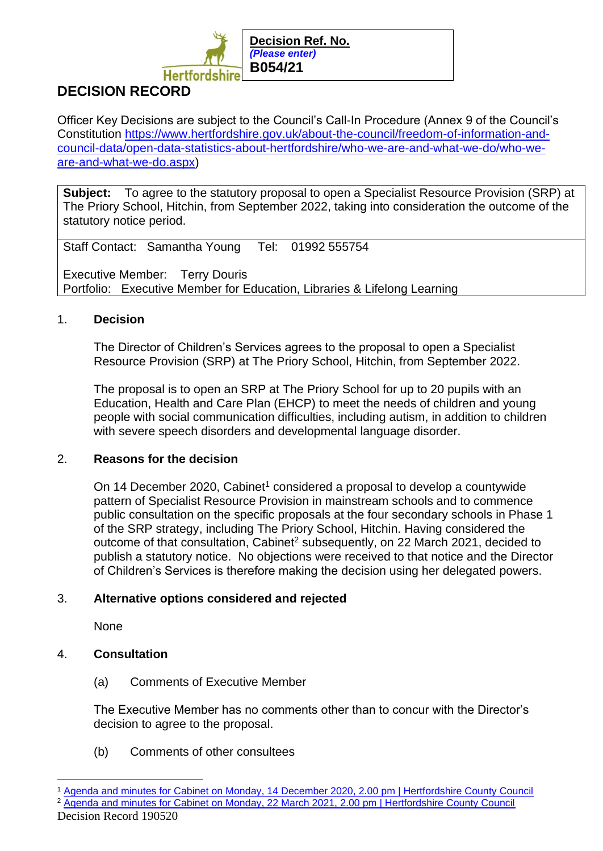

# **DECISION RECORD**

Officer Key Decisions are subject to the Council's Call-In Procedure (Annex 9 of the Council's Constitution [https://www.hertfordshire.gov.uk/about-the-council/freedom-of-information-and](https://www.hertfordshire.gov.uk/about-the-council/freedom-of-information-and-council-data/open-data-statistics-about-hertfordshire/who-we-are-and-what-we-do/who-we-are-and-what-we-do.aspx)[council-data/open-data-statistics-about-hertfordshire/who-we-are-and-what-we-do/who-we](https://www.hertfordshire.gov.uk/about-the-council/freedom-of-information-and-council-data/open-data-statistics-about-hertfordshire/who-we-are-and-what-we-do/who-we-are-and-what-we-do.aspx)[are-and-what-we-do.aspx\)](https://www.hertfordshire.gov.uk/about-the-council/freedom-of-information-and-council-data/open-data-statistics-about-hertfordshire/who-we-are-and-what-we-do/who-we-are-and-what-we-do.aspx)

**Subject:** To agree to the statutory proposal to open a Specialist Resource Provision (SRP) at The Priory School, Hitchin, from September 2022, taking into consideration the outcome of the statutory notice period.

Staff Contact: Samantha Young Tel: 01992 555754

Executive Member: Terry Douris Portfolio: Executive Member for Education, Libraries & Lifelong Learning

## 1. **Decision**

The Director of Children's Services agrees to the proposal to open a Specialist Resource Provision (SRP) at The Priory School, Hitchin, from September 2022.

The proposal is to open an SRP at The Priory School for up to 20 pupils with an Education, Health and Care Plan (EHCP) to meet the needs of children and young people with social communication difficulties, including autism, in addition to children with severe speech disorders and developmental language disorder.

## 2. **Reasons for the decision**

On 14 December 2020, Cabinet<sup>1</sup> considered a proposal to develop a countywide pattern of Specialist Resource Provision in mainstream schools and to commence public consultation on the specific proposals at the four secondary schools in Phase 1 of the SRP strategy, including The Priory School, Hitchin. Having considered the outcome of that consultation, Cabinet<sup>2</sup> subsequently, on 22 March 2021, decided to publish a statutory notice. No objections were received to that notice and the Director of Children's Services is therefore making the decision using her delegated powers.

## 3. **Alternative options considered and rejected**

**None** 

# 4. **Consultation**

(a) Comments of Executive Member

The Executive Member has no comments other than to concur with the Director's decision to agree to the proposal.

(b) Comments of other consultees

<sup>&</sup>lt;sup>1</sup> [Agenda and minutes for Cabinet on Monday, 14 December 2020, 2.00 pm | Hertfordshire County Council](https://democracy.hertfordshire.gov.uk/ieListDocuments.aspx?CId=146&MId=2011&Ver=4)

<sup>2</sup> [Agenda and minutes for Cabinet on Monday, 22 March 2021, 2.00 pm | Hertfordshire County Council](https://democracy.hertfordshire.gov.uk/ieListDocuments.aspx?CId=146&MId=2014&Ver=4)